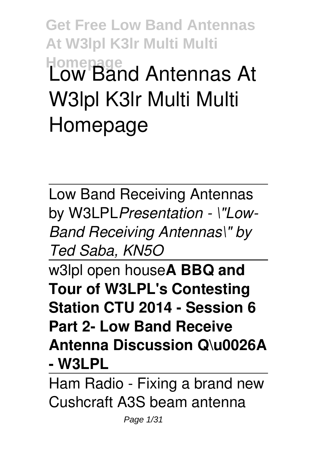**Get Free Low Band Antennas At W3lpl K3lr Multi Multi Homepage Low Band Antennas At W3lpl K3lr Multi Multi Homepage**

Low Band Receiving Antennas by W3LPL*Presentation - \"Low-Band Receiving Antennas\" by Ted Saba, KN5O*

w3lpl open house**A BBQ and Tour of W3LPL's Contesting Station CTU 2014 - Session 6 Part 2- Low Band Receive Antenna Discussion Q\u0026A - W3LPL**

Ham Radio - Fixing a brand new Cushcraft A3S beam antenna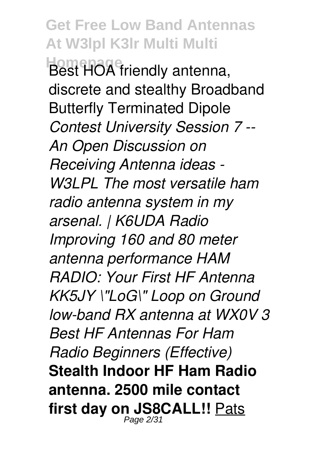**Get Free Low Band Antennas At W3lpl K3lr Multi Multi Homepage** Best HOA friendly antenna, discrete and stealthy Broadband Butterfly Terminated Dipole *Contest University Session 7 -- An Open Discussion on Receiving Antenna ideas - W3LPL The most versatile ham radio antenna system in my arsenal. | K6UDA Radio Improving 160 and 80 meter antenna performance HAM RADIO: Your First HF Antenna KK5JY \"LoG\" Loop on Ground low-band RX antenna at WX0V 3 Best HF Antennas For Ham Radio Beginners (Effective)* **Stealth Indoor HF Ham Radio antenna. 2500 mile contact first day on JS8CALL!!** Pats Page  $2/3$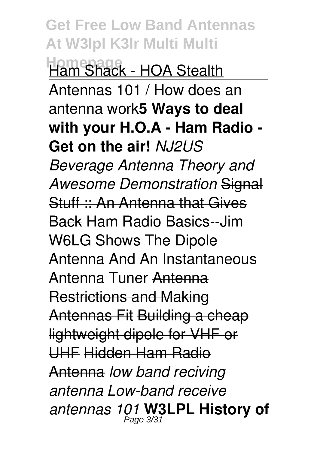**Get Free Low Band Antennas At W3lpl K3lr Multi Multi Homepage** Ham Shack - HOA Stealth Antennas 101 / How does an antenna work**5 Ways to deal with your H.O.A - Ham Radio - Get on the air!** *NJ2US Beverage Antenna Theory and Awesome Demonstration* Signal Stuff :: An Antenna that Gives Back Ham Radio Basics--Jim W6LG Shows The Dipole Antenna And An Instantaneous Antenna Tuner Antenna Restrictions and Making Antennas Fit Building a cheap lightweight dipole for VHF or UHF Hidden Ham Radio Antenna *low band reciving antenna Low-band receive antennas 101* **W3LPL History of** Page 3/31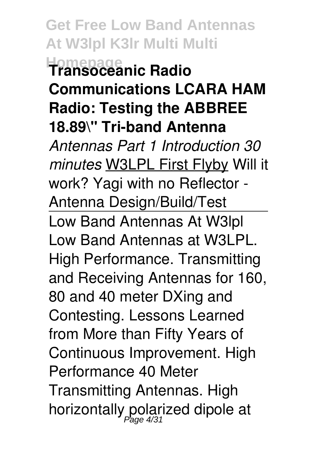**Get Free Low Band Antennas At W3lpl K3lr Multi Multi Homepage Transoceanic Radio Communications LCARA HAM Radio: Testing the ABBREE 18.89\" Tri-band Antenna** *Antennas Part 1 Introduction 30 minutes* W3LPL First Flyby Will it work? Yagi with no Reflector - Antenna Design/Build/Test Low Band Antennas At W3lpl Low Band Antennas at W3LPL. High Performance. Transmitting and Receiving Antennas for 160, 80 and 40 meter DXing and Contesting. Lessons Learned from More than Fifty Years of Continuous Improvement. High Performance 40 Meter Transmitting Antennas. High horizontally polarized dipole at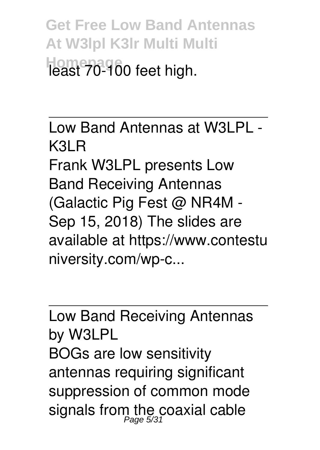**Get Free Low Band Antennas At W3lpl K3lr Multi Multi Homepage** least 70-100 feet high.

Low Band Antennas at W3LPL - K3LR Frank W3LPL presents Low Band Receiving Antennas (Galactic Pig Fest @ NR4M - Sep 15, 2018) The slides are available at https://www.contestu niversity.com/wp-c...

Low Band Receiving Antennas by W3LPL BOGs are low sensitivity antennas requiring significant suppression of common mode signals from the coaxial cable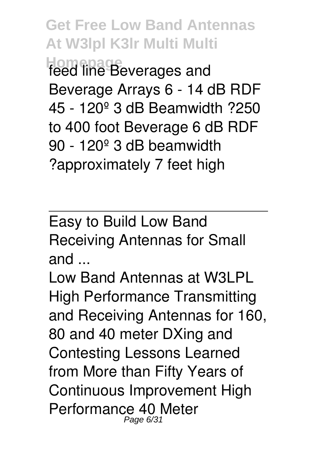**Get Free Low Band Antennas At W3lpl K3lr Multi Multi Homepage** feed line Beverages and Beverage Arrays 6 - 14 dB RDF 45 - 120º 3 dB Beamwidth ?250 to 400 foot Beverage 6 dB RDF 90 - 120º 3 dB beamwidth ?approximately 7 feet high

Easy to Build Low Band Receiving Antennas for Small and ...

Low Band Antennas at W3LPL High Performance Transmitting and Receiving Antennas for 160, 80 and 40 meter DXing and Contesting Lessons Learned from More than Fifty Years of Continuous Improvement High Performance 40 Meter Page 6/31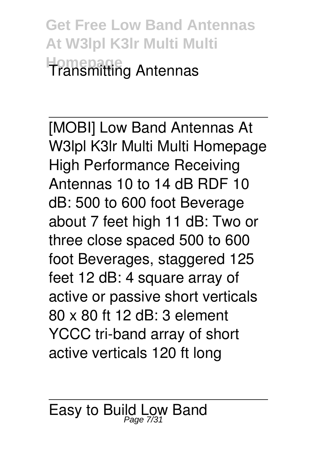**Get Free Low Band Antennas At W3lpl K3lr Multi Multi Homepage** Transmitting Antennas

[MOBI] Low Band Antennas At W3lpl K3lr Multi Multi Homepage High Performance Receiving Antennas 10 to 14 dB RDF 10 dB: 500 to 600 foot Beverage about 7 feet high 11 dB: Two or three close spaced 500 to 600 foot Beverages, staggered 125 feet 12 dB: 4 square array of active or passive short verticals 80 x 80 ft 12 dB: 3 element YCCC tri-band array of short active verticals 120 ft long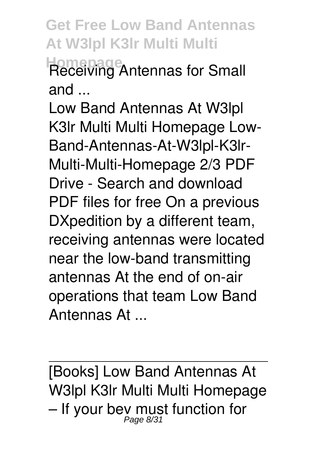**Get Free Low Band Antennas At W3lpl K3lr Multi Multi Homepage** Receiving Antennas for Small and ...

Low Band Antennas At W3lpl K3lr Multi Multi Homepage Low-Band-Antennas-At-W3lpl-K3lr-Multi-Multi-Homepage 2/3 PDF Drive - Search and download PDF files for free On a previous DXpedition by a different team, receiving antennas were located near the low-band transmitting antennas At the end of on-air operations that team Low Band Antennas At ...

[Books] Low Band Antennas At W3lpl K3lr Multi Multi Homepage  $-$  If your bey must function for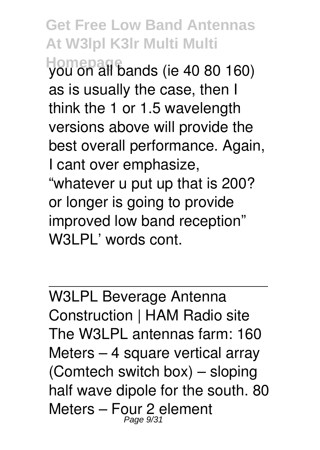**Get Free Low Band Antennas At W3lpl K3lr Multi Multi**

**Homepage** you on all bands (ie 40 80 160) as is usually the case, then I think the 1 or 1.5 wavelength versions above will provide the best overall performance. Again, I cant over emphasize, "whatever u put up that is 200? or longer is going to provide improved low band reception" W3LPL' words cont.

W3LPL Beverage Antenna Construction | HAM Radio site The W3LPL antennas farm: 160 Meters – 4 square vertical array (Comtech switch box) – sloping half wave dipole for the south. 80 Meters – Four 2 element<br>  $P_{Page 9/31}$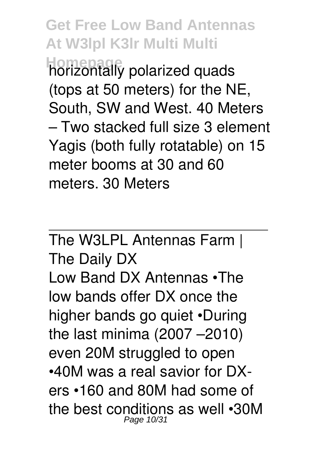**Get Free Low Band Antennas At W3lpl K3lr Multi Multi Homepage** horizontally polarized quads (tops at 50 meters) for the NE, South, SW and West. 40 Meters – Two stacked full size 3 element Yagis (both fully rotatable) on 15 meter booms at 30 and 60 meters. 30 Meters

The W3LPL Antennas Farm | The Daily DX Low Band DX Antennas •The low bands offer DX once the higher bands go quiet •During the last minima (2007 –2010) even 20M struggled to open •40M was a real savior for DXers •160 and 80M had some of the best conditions as well •30M Page 10/31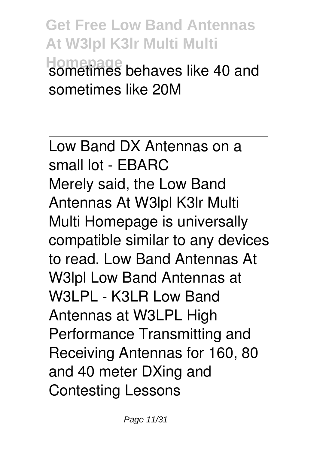**Get Free Low Band Antennas At W3lpl K3lr Multi Multi Homepage** sometimes behaves like 40 and sometimes like 20M

Low Band DX Antennas on a small lot - EBARC Merely said, the Low Band Antennas At W3lpl K3lr Multi Multi Homepage is universally compatible similar to any devices to read. Low Band Antennas At W3lpl Low Band Antennas at W3LPL - K3LR Low Band Antennas at W3LPL High Performance Transmitting and Receiving Antennas for 160, 80 and 40 meter DXing and Contesting Lessons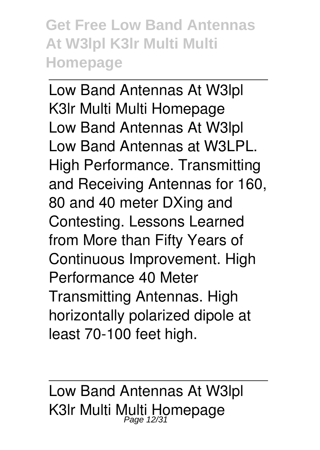**Get Free Low Band Antennas At W3lpl K3lr Multi Multi Homepage**

Low Band Antennas At W3lpl K3lr Multi Multi Homepage Low Band Antennas At W3lpl Low Band Antennas at W3LPL. High Performance. Transmitting and Receiving Antennas for 160, 80 and 40 meter DXing and Contesting. Lessons Learned from More than Fifty Years of Continuous Improvement. High Performance 40 Meter Transmitting Antennas. High horizontally polarized dipole at least 70-100 feet high.

Low Band Antennas At W3lpl K3Ir Multi Multi Homepage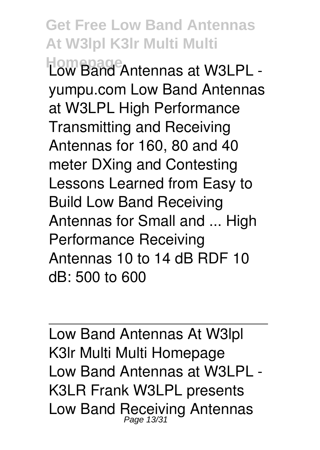**Get Free Low Band Antennas At W3lpl K3lr Multi Multi Homepage** Low Band Antennas at W3LPL yumpu.com Low Band Antennas at W3LPL High Performance Transmitting and Receiving Antennas for 160, 80 and 40 meter DXing and Contesting Lessons Learned from Easy to Build Low Band Receiving Antennas for Small and ... High Performance Receiving Antennas 10 to 14 dB RDF 10 dB: 500 to 600

Low Band Antennas At W3lpl K3lr Multi Multi Homepage Low Band Antennas at W3LPL - K3LR Frank W3LPL presents Low Band Receiving Antennas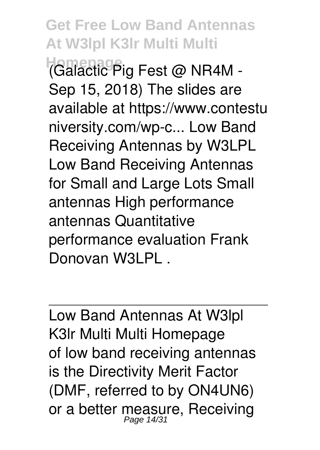**Get Free Low Band Antennas At W3lpl K3lr Multi Multi Homepage** (Galactic Pig Fest @ NR4M - Sep 15, 2018) The slides are available at https://www.contestu niversity.com/wp-c... Low Band Receiving Antennas by W3LPL Low Band Receiving Antennas for Small and Large Lots Small antennas High performance antennas Quantitative performance evaluation Frank Donovan W3LPL .

Low Band Antennas At W3lpl K3lr Multi Multi Homepage of low band receiving antennas is the Directivity Merit Factor (DMF, referred to by ON4UN6) or a better measure, Receiving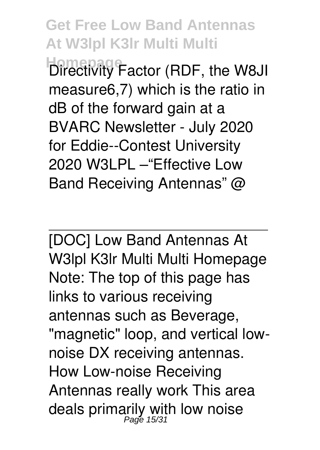**Get Free Low Band Antennas At W3lpl K3lr Multi Multi Homepage** Factor (RDF, the W8JI measure6,7) which is the ratio in dB of the forward gain at a BVARC Newsletter - July 2020 for Eddie--Contest University 2020 W3LPL –"Effective Low

Band Receiving Antennas" @

[DOC] Low Band Antennas At W3lpl K3lr Multi Multi Homepage Note: The top of this page has links to various receiving antennas such as Beverage, "magnetic" loop, and vertical lownoise DX receiving antennas. How Low-noise Receiving Antennas really work This area deals primarily with low noise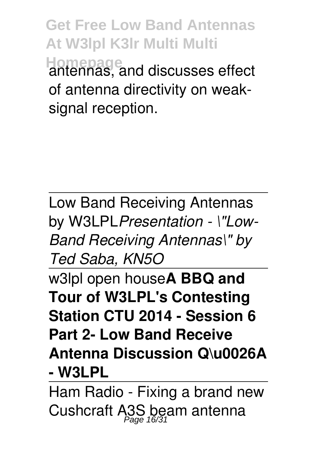**Get Free Low Band Antennas At W3lpl K3lr Multi Multi Homepage** antennas, and discusses effect of antenna directivity on weaksignal reception.

Low Band Receiving Antennas by W3LPL*Presentation - \"Low-Band Receiving Antennas\" by Ted Saba, KN5O*

w3lpl open house**A BBQ and Tour of W3LPL's Contesting Station CTU 2014 - Session 6 Part 2- Low Band Receive Antenna Discussion Q\u0026A - W3LPL**

Ham Radio - Fixing a brand new Cushcraft A3S beam antenna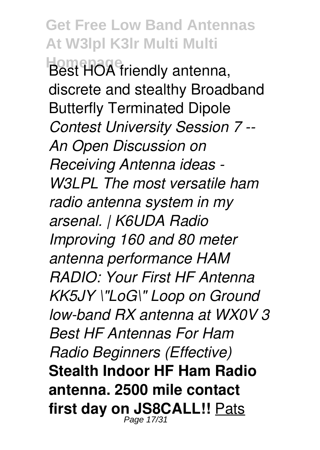**Get Free Low Band Antennas At W3lpl K3lr Multi Multi Homepage** Best HOA friendly antenna, discrete and stealthy Broadband Butterfly Terminated Dipole *Contest University Session 7 -- An Open Discussion on Receiving Antenna ideas - W3LPL The most versatile ham radio antenna system in my arsenal. | K6UDA Radio Improving 160 and 80 meter antenna performance HAM RADIO: Your First HF Antenna KK5JY \"LoG\" Loop on Ground low-band RX antenna at WX0V 3 Best HF Antennas For Ham Radio Beginners (Effective)* **Stealth Indoor HF Ham Radio antenna. 2500 mile contact first day on JS8CALL!!** Pats Page 17/31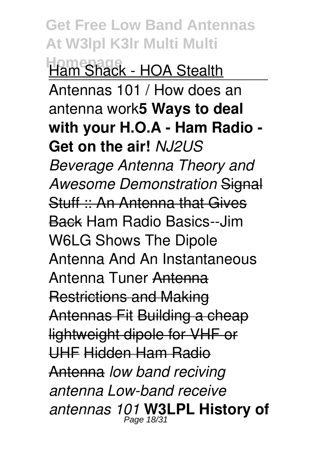**Get Free Low Band Antennas At W3lpl K3lr Multi Multi Homepage** Ham Shack - HOA Stealth Antennas 101 / How does an antenna work**5 Ways to deal with your H.O.A - Ham Radio - Get on the air!** *NJ2US Beverage Antenna Theory and Awesome Demonstration* Signal Stuff :: An Antenna that Gives Back Ham Radio Basics--Jim W6LG Shows The Dipole Antenna And An Instantaneous Antenna Tuner Antenna Restrictions and Making Antennas Fit Building a cheap lightweight dipole for VHF or UHF Hidden Ham Radio Antenna *low band reciving antenna Low-band receive antennas 101* **W3LPL History of** Page 18/31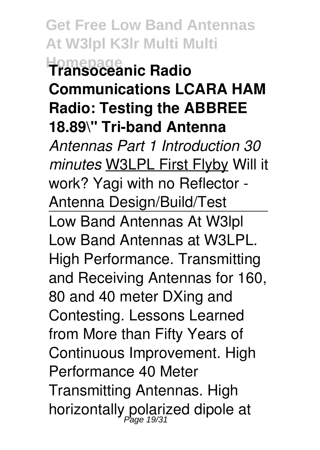**Get Free Low Band Antennas At W3lpl K3lr Multi Multi Homepage Transoceanic Radio Communications LCARA HAM Radio: Testing the ABBREE 18.89\" Tri-band Antenna** *Antennas Part 1 Introduction 30 minutes* W3LPL First Flyby Will it work? Yagi with no Reflector - Antenna Design/Build/Test Low Band Antennas At W3lpl Low Band Antennas at W3LPL. High Performance. Transmitting and Receiving Antennas for 160, 80 and 40 meter DXing and Contesting. Lessons Learned from More than Fifty Years of Continuous Improvement. High Performance 40 Meter Transmitting Antennas. High horizontally polarized dipole at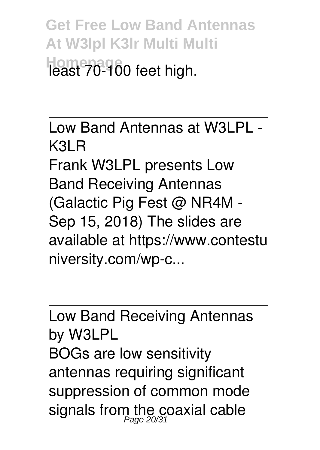**Get Free Low Band Antennas At W3lpl K3lr Multi Multi Homepage** least 70-100 feet high.

Low Band Antennas at W3LPL - K3LR Frank W3LPL presents Low Band Receiving Antennas (Galactic Pig Fest @ NR4M - Sep 15, 2018) The slides are available at https://www.contestu niversity.com/wp-c...

Low Band Receiving Antennas by W3LPL BOGs are low sensitivity antennas requiring significant suppression of common mode signals from the coaxial cable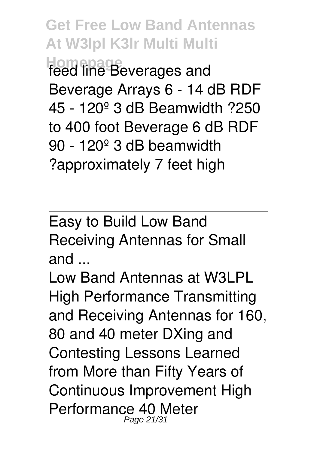**Get Free Low Band Antennas At W3lpl K3lr Multi Multi Homepage** feed line Beverages and Beverage Arrays 6 - 14 dB RDF 45 - 120º 3 dB Beamwidth ?250 to 400 foot Beverage 6 dB RDF 90 - 120º 3 dB beamwidth ?approximately 7 feet high

Easy to Build Low Band Receiving Antennas for Small and ...

Low Band Antennas at W3LPL High Performance Transmitting and Receiving Antennas for 160, 80 and 40 meter DXing and Contesting Lessons Learned from More than Fifty Years of Continuous Improvement High Performance 40 Meter Page 21/31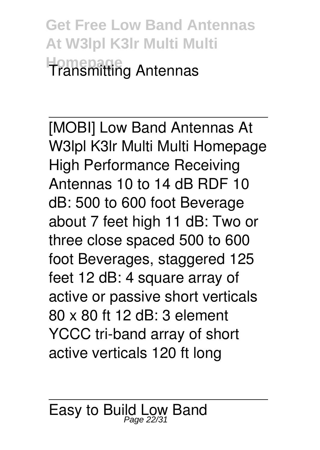**Get Free Low Band Antennas At W3lpl K3lr Multi Multi Homepage** Transmitting Antennas

[MOBI] Low Band Antennas At W3lpl K3lr Multi Multi Homepage High Performance Receiving Antennas 10 to 14 dB RDF 10 dB: 500 to 600 foot Beverage about 7 feet high 11 dB: Two or three close spaced 500 to 600 foot Beverages, staggered 125 feet 12 dB: 4 square array of active or passive short verticals 80 x 80 ft 12 dB: 3 element YCCC tri-band array of short active verticals 120 ft long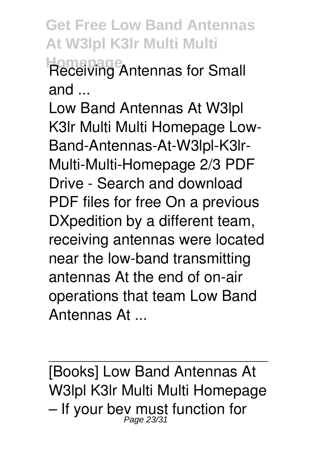**Get Free Low Band Antennas At W3lpl K3lr Multi Multi Homepage** Receiving Antennas for Small and ...

Low Band Antennas At W3lpl K3lr Multi Multi Homepage Low-Band-Antennas-At-W3lpl-K3lr-Multi-Multi-Homepage 2/3 PDF Drive - Search and download PDF files for free On a previous DXpedition by a different team, receiving antennas were located near the low-band transmitting antennas At the end of on-air operations that team Low Band Antennas At ...

[Books] Low Band Antennas At W3lpl K3lr Multi Multi Homepage – If your bey must function for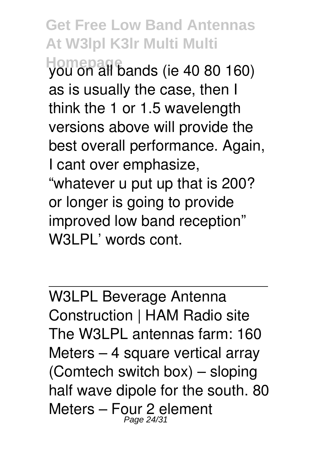**Get Free Low Band Antennas At W3lpl K3lr Multi Multi**

**Homepage** you on all bands (ie 40 80 160) as is usually the case, then I think the 1 or 1.5 wavelength versions above will provide the best overall performance. Again, I cant over emphasize, "whatever u put up that is 200? or longer is going to provide improved low band reception" W3LPL' words cont.

W3LPL Beverage Antenna Construction | HAM Radio site The W3LPL antennas farm: 160 Meters – 4 square vertical array (Comtech switch box) – sloping half wave dipole for the south. 80 Meters – Four 2 element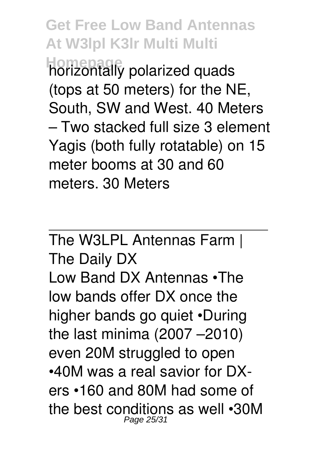**Get Free Low Band Antennas At W3lpl K3lr Multi Multi Homepage** horizontally polarized quads (tops at 50 meters) for the NE, South, SW and West. 40 Meters – Two stacked full size 3 element Yagis (both fully rotatable) on 15 meter booms at 30 and 60 meters. 30 Meters

The W3LPL Antennas Farm | The Daily DX Low Band DX Antennas •The low bands offer DX once the higher bands go quiet •During the last minima (2007 –2010) even 20M struggled to open •40M was a real savior for DXers •160 and 80M had some of the best conditions as well •30M Page 25/31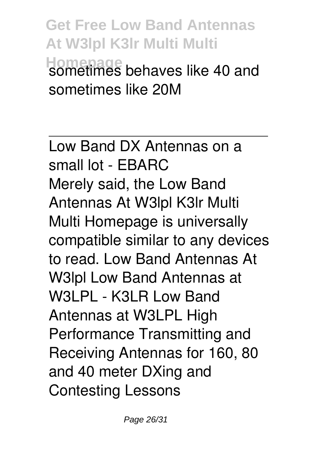**Get Free Low Band Antennas At W3lpl K3lr Multi Multi Homepage** sometimes behaves like 40 and sometimes like 20M

Low Band DX Antennas on a small lot - EBARC Merely said, the Low Band Antennas At W3lpl K3lr Multi Multi Homepage is universally compatible similar to any devices to read. Low Band Antennas At W3lpl Low Band Antennas at W3LPL - K3LR Low Band Antennas at W3LPL High Performance Transmitting and Receiving Antennas for 160, 80 and 40 meter DXing and Contesting Lessons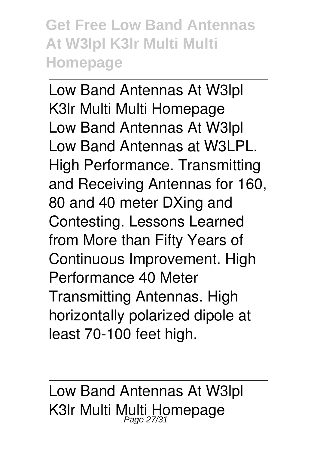**Get Free Low Band Antennas At W3lpl K3lr Multi Multi Homepage**

Low Band Antennas At W3lpl K3lr Multi Multi Homepage Low Band Antennas At W3lpl Low Band Antennas at W3LPL. High Performance. Transmitting and Receiving Antennas for 160, 80 and 40 meter DXing and Contesting. Lessons Learned from More than Fifty Years of Continuous Improvement. High Performance 40 Meter Transmitting Antennas. High horizontally polarized dipole at least 70-100 feet high.

Low Band Antennas At W3lpl K3Ir Multi Multi Homepage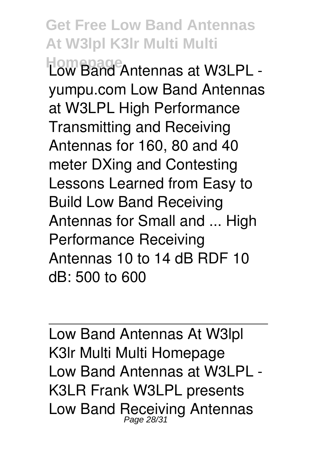**Get Free Low Band Antennas At W3lpl K3lr Multi Multi Homepage** Low Band Antennas at W3LPL yumpu.com Low Band Antennas at W3LPL High Performance Transmitting and Receiving Antennas for 160, 80 and 40 meter DXing and Contesting Lessons Learned from Easy to Build Low Band Receiving Antennas for Small and ... High Performance Receiving Antennas 10 to 14 dB RDF 10 dB: 500 to 600

Low Band Antennas At W3lpl K3lr Multi Multi Homepage Low Band Antennas at W3LPL - K3LR Frank W3LPL presents Low Band Receiving Antennas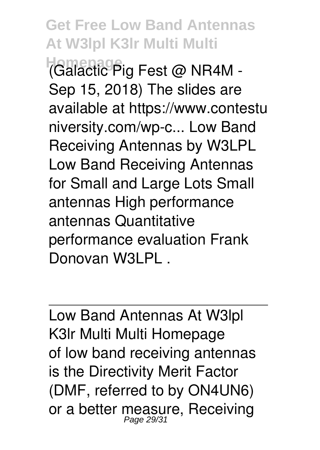**Get Free Low Band Antennas At W3lpl K3lr Multi Multi Homepage** (Galactic Pig Fest @ NR4M - Sep 15, 2018) The slides are available at https://www.contestu niversity.com/wp-c... Low Band Receiving Antennas by W3LPL Low Band Receiving Antennas for Small and Large Lots Small antennas High performance antennas Quantitative performance evaluation Frank Donovan W3LPL .

Low Band Antennas At W3lpl K3lr Multi Multi Homepage of low band receiving antennas is the Directivity Merit Factor (DMF, referred to by ON4UN6) or a better measure, Receiving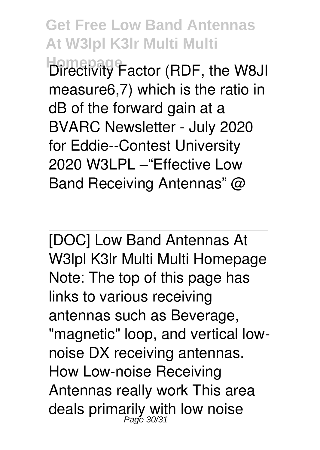**Get Free Low Band Antennas At W3lpl K3lr Multi Multi Homepage** Factor (RDF, the W8JI measure6,7) which is the ratio in dB of the forward gain at a BVARC Newsletter - July 2020 for Eddie--Contest University 2020 W3LPL –"Effective Low

Band Receiving Antennas" @

[DOC] Low Band Antennas At W3lpl K3lr Multi Multi Homepage Note: The top of this page has links to various receiving antennas such as Beverage, "magnetic" loop, and vertical lownoise DX receiving antennas. How Low-noise Receiving Antennas really work This area deals primarily with low noise